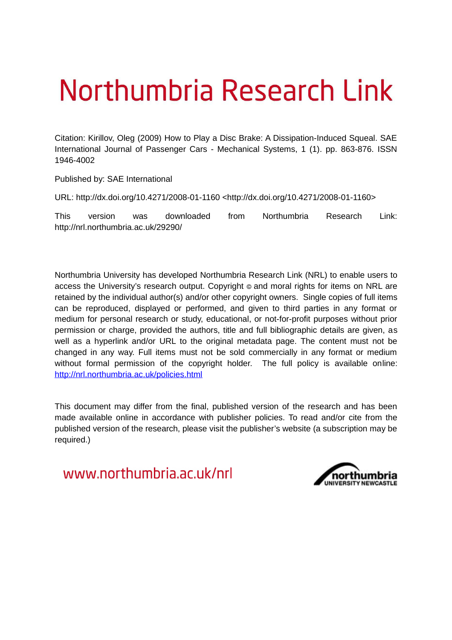# Northumbria Research Link

Citation: Kirillov, Oleg (2009) How to Play a Disc Brake: A Dissipation-Induced Squeal. SAE International Journal of Passenger Cars - Mechanical Systems, 1 (1). pp. 863-876. ISSN 1946-4002

Published by: SAE International

URL: http://dx.doi.org/10.4271/2008-01-1160 <http://dx.doi.org/10.4271/2008-01-1160>

This version was downloaded from Northumbria Research Link: http://nrl.northumbria.ac.uk/29290/

Northumbria University has developed Northumbria Research Link (NRL) to enable users to access the University's research output. Copyright  $\circ$  and moral rights for items on NRL are retained by the individual author(s) and/or other copyright owners. Single copies of full items can be reproduced, displayed or performed, and given to third parties in any format or medium for personal research or study, educational, or not-for-profit purposes without prior permission or charge, provided the authors, title and full bibliographic details are given, as well as a hyperlink and/or URL to the original metadata page. The content must not be changed in any way. Full items must not be sold commercially in any format or medium without formal permission of the copyright holder. The full policy is available online: <http://nrl.northumbria.ac.uk/policies.html>

This document may differ from the final, published version of the research and has been made available online in accordance with publisher policies. To read and/or cite from the published version of the research, please visit the publisher's website (a subscription may be required.)

www.northumbria.ac.uk/nrl

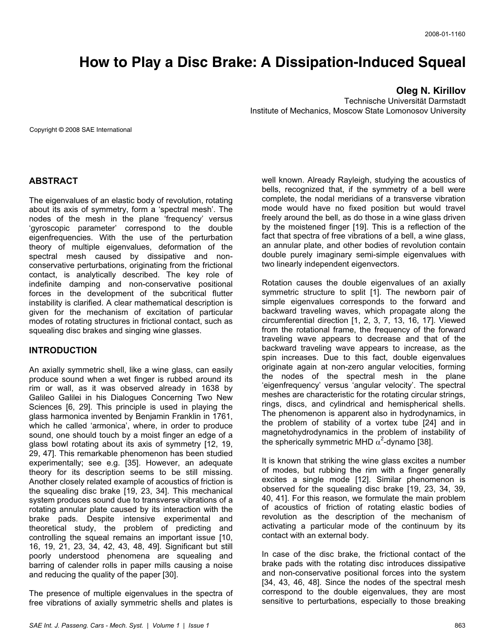## **How to Play a Disc Brake: A Dissipation-Induced Squeal**

**Oleg N. Kirillov** 

Technische Universität Darmstadt Institute of Mechanics, Moscow State Lomonosov University

Copyright © 2008 SAE International

#### **ABSTRACT**

The eigenvalues of an elastic body of revolution, rotating about its axis of symmetry, form a 'spectral mesh'. The nodes of the mesh in the plane 'frequency' versus 'gyroscopic parameter' correspond to the double eigenfrequencies. With the use of the perturbation theory of multiple eigenvalues, deformation of the spectral mesh caused by dissipative and nonconservative perturbations, originating from the frictional contact, is analytically described. The key role of indefinite damping and non-conservative positional forces in the development of the subcritical flutter instability is clarified. A clear mathematical description is given for the mechanism of excitation of particular modes of rotating structures in frictional contact, such as squealing disc brakes and singing wine glasses.

#### **INTRODUCTION**

An axially symmetric shell, like a wine glass, can easily produce sound when a wet finger is rubbed around its rim or wall, as it was observed already in 1638 by Galileo Galilei in his Dialogues Concerning Two New Sciences [6, 29]. This principle is used in playing the glass harmonica invented by Benjamin Franklin in 1761, which he called 'armonica', where, in order to produce sound, one should touch by a moist finger an edge of a glass bowl rotating about its axis of symmetry [12, 19, 29, 47]. This remarkable phenomenon has been studied experimentally; see e.g. [35]. However, an adequate theory for its description seems to be still missing. Another closely related example of acoustics of friction is the squealing disc brake [19, 23, 34]. This mechanical system produces sound due to transverse vibrations of a rotating annular plate caused by its interaction with the brake pads. Despite intensive experimental and theoretical study, the problem of predicting and controlling the squeal remains an important issue [10, 16, 19, 21, 23, 34, 42, 43, 48, 49]. Significant but still poorly understood phenomena are squealing and barring of calender rolls in paper mills causing a noise and reducing the quality of the paper [30].

The presence of multiple eigenvalues in the spectra of free vibrations of axially symmetric shells and plates is

well known. Already Rayleigh, studying the acoustics of bells, recognized that, if the symmetry of a bell were complete, the nodal meridians of a transverse vibration mode would have no fixed position but would travel freely around the bell, as do those in a wine glass driven by the moistened finger [19]. This is a reflection of the fact that spectra of free vibrations of a bell, a wine glass, an annular plate, and other bodies of revolution contain double purely imaginary semi-simple eigenvalues with two linearly independent eigenvectors.

Rotation causes the double eigenvalues of an axially symmetric structure to split [1]. The newborn pair of simple eigenvalues corresponds to the forward and backward traveling waves, which propagate along the circumferential direction [1, 2, 3, 7, 13, 16, 17]. Viewed from the rotational frame, the frequency of the forward traveling wave appears to decrease and that of the backward traveling wave appears to increase, as the spin increases. Due to this fact, double eigenvalues originate again at non-zero angular velocities, forming the nodes of the spectral mesh in the plane 'eigenfrequency' versus 'angular velocity'. The spectral meshes are characteristic for the rotating circular strings, rings, discs, and cylindrical and hemispherical shells. The phenomenon is apparent also in hydrodynamics, in the problem of stability of a vortex tube [24] and in magnetohydrodynamics in the problem of instability of the spherically symmetric MHD  $\alpha^2$ -dynamo [38].

It is known that striking the wine glass excites a number of modes, but rubbing the rim with a finger generally excites a single mode [12]. Similar phenomenon is observed for the squealing disc brake [19, 23, 34, 39, 40, 41]. For this reason, we formulate the main problem of acoustics of friction of rotating elastic bodies of revolution as the description of the mechanism of activating a particular mode of the continuum by its contact with an external body.

In case of the disc brake, the frictional contact of the brake pads with the rotating disc introduces dissipative and non-conservative positional forces into the system [34, 43, 46, 48]. Since the nodes of the spectral mesh correspond to the double eigenvalues, they are most sensitive to perturbations, especially to those breaking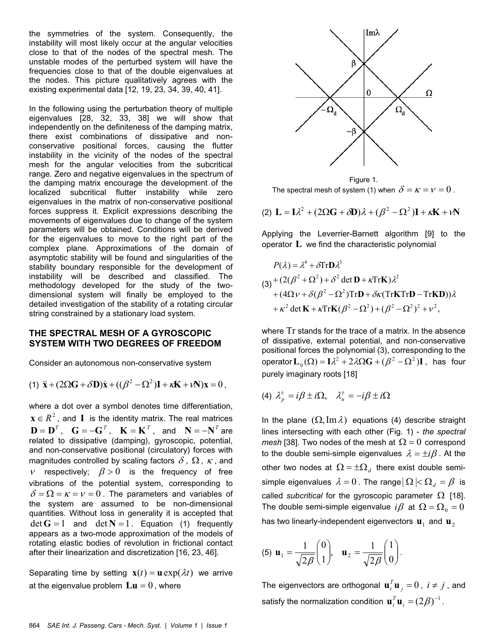the symmetries of the system. Consequently, the instability will most likely occur at the angular velocities close to that of the nodes of the spectral mesh. The unstable modes of the perturbed system will have the frequencies close to that of the double eigenvalues at the nodes. This picture qualitatively agrees with the existing experimental data [12, 19, 23, 34, 39, 40, 41].

In the following using the perturbation theory of multiple eigenvalues [28, 32, 33, 38] we will show that independently on the definiteness of the damping matrix, there exist combinations of dissipative and nonconservative positional forces, causing the flutter instability in the vicinity of the nodes of the spectral mesh for the angular velocities from the subcritical range. Zero and negative eigenvalues in the spectrum of the damping matrix encourage the development of the localized subcritical flutter instability while zero eigenvalues in the matrix of non-conservative positional forces suppress it. Explicit expressions describing the movements of eigenvalues due to change of the system parameters will be obtained. Conditions will be derived for the eigenvalues to move to the right part of the complex plane. Approximations of the domain of asymptotic stability will be found and singularities of the stability boundary responsible for the development of instability will be described and classified. The methodology developed for the study of the twodimensional system will finally be employed to the detailed investigation of the stability of a rotating circular string constrained by a stationary load system.

#### **THE SPECTRAL MESH OF A GYROSCOPIC SYSTEM WITH TWO DEGREES OF FREEDOM**

Consider an autonomous non-conservative system

(1) 
$$
\ddot{\mathbf{x}} + (2\Omega \mathbf{G} + \delta \mathbf{D})\dot{\mathbf{x}} + ((\beta^2 - \Omega^2)\mathbf{I} + \kappa \mathbf{K} + \nu \mathbf{N})\mathbf{x} = 0
$$
,

where a dot over a symbol denotes time differentiation,  $\mathbf{x} \in R^2$ , and **I** is the identity matrix. The real matrices  $\mathbf{D} = \mathbf{D}^T$ ,  $\mathbf{G} = -\mathbf{G}^T$ ,  $\mathbf{K} = \mathbf{K}^T$ , and  $\mathbf{N} = -\mathbf{N}^T$  are related to dissipative (damping), gyroscopic, potential, and non-conservative positional (circulatory) forces with magnitudes controlled by scaling factors  $\delta$  ,  $\Omega$  ,  $\kappa$  , and v respectively;  $\beta > 0$  is the frequency of free vibrations of the potential system, corresponding to  $\delta = \Omega = \kappa = v = 0$ . The parameters and variables of the system are assumed to be non-dimensional quantities. Without loss in generality it is accepted that  $\det G = 1$  and  $\det N = 1$ . Equation (1) frequently appears as a two-mode approximation of the models of rotating elastic bodies of revolution in frictional contact after their linearization and discretization [16, 23, 46].

Separating time by setting  $\mathbf{x}(t) = \mathbf{u} \exp(\lambda t)$  we arrive at the eigenvalue problem  $\mathbf{L}\mathbf{u} = 0$ , where



Figure 1. The spectral mesh of system (1) when  $\overline{\delta}=\kappa=\nu=0$  .

 $(L)$   $\mathbf{L} = \mathbf{L}\lambda^2 + (2\Omega\mathbf{G} + \delta\mathbf{D})\lambda + (\beta^2 - \Omega^2)\mathbf{I} + \kappa\mathbf{K} + \nu\mathbf{N}$ 

Applying the Leverrier-Barnett algorithm [9] to the operator **L** we find the characteristic polynomial

$$
P(\lambda) = \lambda^4 + \delta \text{Tr} \mathbf{D} \lambda^3
$$
  
(3) + (2( $\beta^2$  +  $\Omega^2$ ) +  $\delta^2$  det  $\mathbf{D}$  +  $\kappa \text{Tr} \mathbf{K}$ ) $\lambda^2$   
+ (4 $\Omega v$  +  $\delta$ ( $\beta^2$  -  $\Omega^2$ )Tr $\mathbf{D}$  +  $\delta \kappa$ (Tr $\mathbf{K} \text{Tr} \mathbf{D}$  - Tr $\mathbf{K} \mathbf{D}$ )) $\lambda$   
+  $\kappa^2$  det  $\mathbf{K}$  +  $\kappa \text{Tr} \mathbf{K}$ ( $\beta^2$  -  $\Omega^2$ ) + ( $\beta^2$  -  $\Omega^2$ )<sup>2</sup> +  $v^2$ ,

where Tr stands for the trace of a matrix. In the absence of dissipative, external potential, and non-conservative positional forces the polynomial (3), corresponding to the operator  $\mathbf{L}_{0}(\Omega) = \mathbf{L}\lambda^{2} + 2\lambda\Omega\mathbf{G} + (\beta^{2} - \Omega^{2})\mathbf{I}$ , has four purely imaginary roots [18]

(4) 
$$
\lambda_p^{\pm} = i\beta \pm i\Omega, \quad \lambda_n^{\pm} = -i\beta \pm i\Omega
$$

In the plane  $(\Omega, \text{Im }\lambda)$  equations (4) describe straight lines intersecting with each other (Fig. 1) - *the spectral mesh* [38]. Two nodes of the mesh at  $\Omega = 0$  correspond to the double semi-simple eigenvalues  $\lambda = \pm i\beta$ . At the other two nodes at  $\Omega=\pm\Omega_{\overline{d}}$  there exist double semisimple eigenvalues  $\lambda = 0$ . The range $\int \Omega \, |\mathcal{L} \Omega_d = \beta$  is called *subcritical* for the gyroscopic parameter  $\Omega$  [18]. The double semi-simple eigenvalue *i* $\beta$  at  $\Omega = \Omega_0 = 0$ has two linearly-independent eigenvectors  $\mathbf{u}_1$  and  $\mathbf{u}_2$ 

(5) 
$$
\mathbf{u}_1 = \frac{1}{\sqrt{2\beta}} \begin{pmatrix} 0 \\ 1 \end{pmatrix}, \quad \mathbf{u}_2 = \frac{1}{\sqrt{2\beta}} \begin{pmatrix} 1 \\ 0 \end{pmatrix}.
$$

The eigenvectors are orthogonal  $\mathbf{u}_i^T \mathbf{u}_j = 0$  ,  $i \neq j$  , and satisfy the normalization condition  $\mathbf{u}_i^T \mathbf{u}_i = \left( 2 \beta \right)^{-1}$  .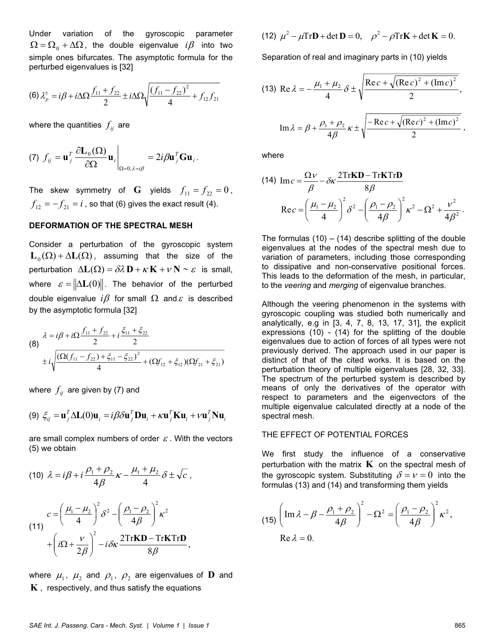Under variation of the gyroscopic parameter  $\Omega = \Omega_{\scriptscriptstyle 0} + \Delta\Omega$ , the double eigenvalue  $i\beta$  into two simple ones bifurcates. The asymptotic formula for the perturbed eigenvalues is [32]

$$
(6) \lambda_p^{\pm} = i\beta + i\Delta\Omega \frac{f_{11} + f_{22}}{2} \pm i\Delta\Omega \sqrt{\frac{(f_{11} - f_{22})^2}{4} + f_{12}f_{21}}
$$

(7) 
$$
f_{ij} = \mathbf{u}_j^T \frac{\partial \mathbf{L}_0(\Omega)}{\partial \Omega} \mathbf{u}_i \bigg|_{\Omega=0, \lambda=i\beta} = 2i\beta \mathbf{u}_j^T \mathbf{G} \mathbf{u}_i
$$

The skew symmetry of **G** yields  $f_{11} = f_{22} = 0$ ,  $f_{12} = -f_{21} = i$ , so that (6) gives the exact result (4).

#### **DEFORMATION OF THE SPECTRAL MESH**

Consider a perturbation of the gyroscopic system  $\mathbf{L}_{0}(\Omega) + \Delta \mathbf{L}(\Omega)$ , assuming that the size of the perturbation  $\Delta L(\Omega) = \delta \lambda \mathbf{D} + \kappa \mathbf{K} + \nu \mathbf{N} \sim \varepsilon$  is small, where  $\varepsilon = ||\Delta L(0)||$ . The behavior of the perturbed double eigenvalue  $i\beta$  for small  $\Omega$  and  $\varepsilon$  is described by the asymptotic formula [32]

(8)  

$$
\lambda = i\beta + i\Omega \frac{f_{11} + f_{22}}{2} + i\frac{\xi_{11} + \xi_{22}}{2}
$$

$$
\pm i\sqrt{\frac{(\Omega(f_{11} - f_{22}) + \xi_{11} - \xi_{22})^2}{4} + (\Omega f_{12} + \xi_{12})(\Omega f_{21} + \xi_{21})}
$$

where  $f_{ii}$  are given by (7) and

(9) 
$$
\xi_{ij} = \mathbf{u}_j^T \Delta \mathbf{L}(0) \mathbf{u}_i = i \beta \delta \mathbf{u}_j^T \mathbf{D} \mathbf{u}_i + \kappa \mathbf{u}_j^T \mathbf{K} \mathbf{u}_i + \nu \mathbf{u}_j^T \mathbf{N} \mathbf{u}_i
$$

are small complex numbers of order  $\varepsilon$ . With the vectors THE EFFECT OF POTENTIAL FORCES (5) we obtain We first study the influence of a conservative

(10) 
$$
\lambda = i\beta + i\frac{\rho_1 + \rho_2}{4\beta} \kappa - \frac{\mu_1 + \mu_2}{4} \delta \pm \sqrt{c},
$$

$$
c = \left(\frac{\mu_1 - \mu_2}{4}\right)^2 \delta^2 - \left(\frac{\rho_1 - \rho_2}{4\beta}\right)^2 \kappa^2 + \left(i\Omega + \frac{v}{2\beta}\right)^2 - i\delta\kappa \frac{2\text{Tr}KD - \text{Tr}K\text{Tr}D}{8\beta},
$$

where  $\mu_1$ ,  $\mu_2$  and  $\rho_1$ ,  $\rho_2$  are eigenvalues of **D** and **K** , respectively, and thus satisfy the equations

(12) 
$$
\mu^2 - \mu \text{Tr} \mathbf{D} + \det \mathbf{D} = 0
$$
,  $\rho^2 - \rho \text{Tr} \mathbf{K} + \det \mathbf{K} = 0$ .

Separation of real and imaginary parts in (10) yields

(6) 
$$
\lambda_p^{\pm} = i\beta + i\Delta\Omega \frac{f_{11} + f_{22}}{2} \pm i\Delta\Omega \sqrt{\frac{(f_{11} - f_{22})^2}{4} + f_{12}f_{21}}
$$
  
\nwhere the quantities  $f_{ij}$  are\n
$$
\text{Im}\,\lambda = \beta + \frac{\rho_1 + \rho_2}{4\beta} \kappa \pm \sqrt{\frac{\text{Re}\,c + \sqrt{(\text{Re}\,c)^2 + (\text{Im}\,c)^2}}{2}},
$$

where

(14) Im 
$$
c = \frac{\Omega V}{\beta} - \delta \kappa \frac{2 \text{Tr} \mathbf{K} \mathbf{D} - \text{Tr} \mathbf{K} \text{Tr} \mathbf{D}}{8 \beta}
$$
  
Re  $c = \left(\frac{\mu_1 - \mu_2}{4}\right)^2 \delta^2 - \left(\frac{\rho_1 - \rho_2}{4 \beta}\right)^2 \kappa^2 - \Omega^2 + \frac{V^2}{4 \beta^2}$ .

The formulas  $(10) - (14)$  describe splitting of the double eigenvalues at the nodes of the spectral mesh due to variation of parameters, including those corresponding to dissipative and non-conservative positional forces. This leads to the deformation of the mesh, in particular, to the *veering* and *merging* of eigenvalue branches.

Although the veering phenomenon in the systems with gyroscopic coupling was studied both numerically and analytically, e.g in [3, 4, 7, 8, 13, 17, 31], the explicit expressions (10) - (14) for the splitting of the double eigenvalues due to action of forces of all types were not previously derived. The approach used in our paper is distinct of that of the cited works. It is based on the perturbation theory of multiple eigenvalues [28, 32, 33]. The spectrum of the perturbed system is described by means of only the derivatives of the operator with respect to parameters and the eigenvectors of the multiple eigenvalue calculated directly at a node of the spectral mesh.

perturbation with the matrix **K** on the spectral mesh of the gyroscopic system. Substituting  $\delta = v = 0$  into the formulas (13) and (14) and transforming them yields

(15) 
$$
\left(\operatorname{Im} \lambda - \beta - \frac{\rho_1 + \rho_2}{4\beta}\right)^2 - \Omega^2 = \left(\frac{\rho_1 - \rho_2}{4\beta}\right)^2 \kappa^2,
$$
  
Re  $\lambda = 0$ .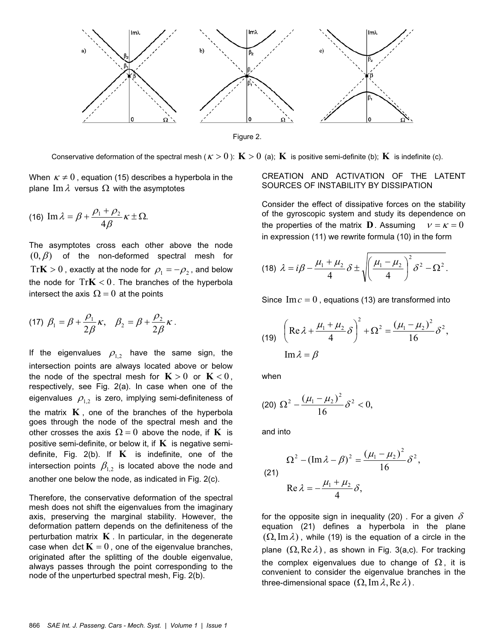

Conservative deformation of the spectral mesh ( $\kappa > 0$ ):  $\mathbf{K} > 0$  (a);  $\mathbf{K}$  is positive semi-definite (b);  $\mathbf{K}$  is indefinite (c).

When  $\kappa \neq 0$ , equation (15) describes a hyperbola in the plane Im  $\lambda$  versus  $\Omega$  with the asymptotes

(16) 
$$
\operatorname{Im} \lambda = \beta + \frac{\rho_1 + \rho_2}{4\beta} \kappa \pm \Omega.
$$

The asymptotes cross each other above the node  $(0, \beta)$  of the non-deformed spectral mesh for  $\text{Tr}\mathbf{K} > 0$  , exactly at the node for  $\rho_1 = -\rho_2$  , and below the node for  $TrK < 0$ . The branches of the hyperbola intersect the axis  $\Omega=0$  at the points

(17) 
$$
\beta_1 = \beta + \frac{\rho_1}{2\beta} \kappa
$$
,  $\beta_2 = \beta + \frac{\rho_2}{2\beta} \kappa$ .

If the eigenvalues  $\rho_{\scriptscriptstyle 1,2}^{\scriptscriptstyle -}$  have the same sign, the intersection points are always located above or below the node of the spectral mesh for  $K > 0$  or  $K < 0$ , respectively, see Fig. 2(a). In case when one of the eigenvalues  $\,\rho_{_{1,2}}\,$  is zero, implying semi-definiteness of the matrix  $K$ , one of the branches of the hyperbola goes through the node of the spectral mesh and the other crosses the axis  $\Omega = 0$  above the node, if **K** is positive semi-definite, or below it, if  $K$  is negative semidefinite, Fig. 2(b). If **K** is indefinite, one of the intersection points  $\,\beta_{_{1,2}}\,$  is located above the node and another one below the node, as indicated in Fig. 2(c).

Therefore, the conservative deformation of the spectral mesh does not shift the eigenvalues from the imaginary axis, preserving the marginal stability. However, the deformation pattern depends on the definiteness of the perturbation matrix **K** . In particular, in the degenerate case when  $\det K = 0$ , one of the eigenvalue branches, originated after the splitting of the double eigenvalue, always passes through the point corresponding to the node of the unperturbed spectral mesh, Fig. 2(b).

CREATION AND ACTIVATION OF THE LATENT SOURCES OF INSTABILITY BY DISSIPATION

Consider the effect of dissipative forces on the stability of the gyroscopic system and study its dependence on the properties of the matrix **D**. Assuming  $v = \kappa = 0$ in expression (11) we rewrite formula (10) in the form

(18) 
$$
\lambda = i\beta - \frac{\mu_1 + \mu_2}{4} \delta \pm \sqrt{\left(\frac{\mu_1 - \mu_2}{4}\right)^2} \delta^2 - \Omega^2
$$
.

Since  $\text{Im } c = 0$ , equations (13) are transformed into

(19) 
$$
\left( \text{Re } \lambda + \frac{\mu_1 + \mu_2}{4} \delta \right)^2 + \Omega^2 = \frac{(\mu_1 - \mu_2)^2}{16} \delta^2,
$$

$$
\text{Im } \lambda = \beta
$$

when

$$
(20)\ \Omega^2 - \frac{(\mu_1 - \mu_2)^2}{16}\delta^2 < 0,
$$

and into

(21)  
\n
$$
\Omega^{2} - (\text{Im }\lambda - \beta)^{2} = \frac{(\mu_{1} - \mu_{2})^{2}}{16} \delta^{2},
$$
\n
$$
\text{Re }\lambda = -\frac{\mu_{1} + \mu_{2}}{4} \delta,
$$

for the opposite sign in inequality (20) . For a given  $\,\delta$ equation (21) defines a hyperbola in the plane  $(\Omega, \mathrm{Im}\lambda)$ , while (19) is the equation of a circle in the plane  $(\Omega, Re \lambda)$ , as shown in Fig. 3(a,c). For tracking the complex eigenvalues due to change of  $\Omega$ , it is convenient to consider the eigenvalue branches in the three-dimensional space  $(\Omega, \text{Im }\lambda, \text{Re }\lambda)$ .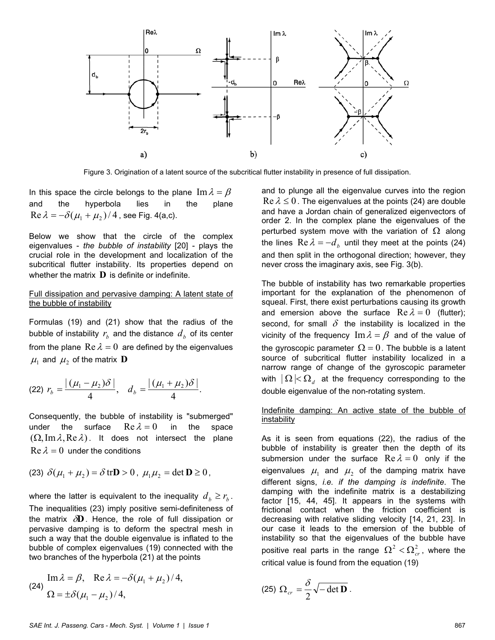

Figure 3. Origination of a latent source of the subcritical flutter instability in presence of full dissipation.

In this space the circle belongs to the plane  $\text{Im }\lambda = \beta$ and the hyperbola lies in the plane  $\text{Re}\,\lambda = -\delta(\mu_1 + \mu_2)/4$ , see Fig. 4(a,c).

Below we show that the circle of the complex eigenvalues - *the bubble of instability* [20] - plays the crucial role in the development and localization of the subcritical flutter instability. Its properties depend on whether the matrix **D** is definite or indefinite.

#### Full dissipation and pervasive damping: A latent state of the bubble of instability

Formulas (19) and (21) show that the radius of the bubble of instability  $r_b$  and the distance  $d_b$  of its center from the plane  $\text{Re}\,\lambda=0$  are defined by the eigenvalues  $\mu_1$  and  $\mu_2$  of the matrix  $\overline{\mathbf{D}}$ 

(22) 
$$
r_b = \frac{|\left(\mu_1 - \mu_2\right)\delta|}{4}
$$
,  $d_b = \frac{|\left(\mu_1 + \mu_2\right)\delta|}{4}$ .

Consequently, the bubble of instability is "submerged" under the surface  $\text{Re }\lambda = 0$  in the space  $(\Omega, \text{Im }\lambda, \text{Re }\lambda)$ . It does not intersect the plane  $\text{Re}\,\lambda = 0$  under the conditions

(23) 
$$
\delta(\mu_1 + \mu_2) = \delta \text{ tr } \mathbf{D} > 0
$$
,  $\mu_1 \mu_2 = \det \mathbf{D} \ge 0$ ,

where the latter is equivalent to the inequality  $d_{\textit{b}} \geq r_{\textit{b}}^{}$ . The inequalities (23) imply positive semi-definiteness of the matrix  $\partial$ **D**. Hence, the role of full dissipation or pervasive damping is to deform the spectral mesh in such a way that the double eigenvalue is inflated to the bubble of complex eigenvalues (19) connected with the two branches of the hyperbola (21) at the points

(24) 
$$
\operatorname{Im} \lambda = \beta, \quad \operatorname{Re} \lambda = -\delta(\mu_1 + \mu_2)/4,
$$

$$
\Omega = \pm \delta(\mu_1 - \mu_2)/4,
$$

and to plunge all the eigenvalue curves into the region  $\text{Re }\lambda \leq 0$ . The eigenvalues at the points (24) are double and have a Jordan chain of generalized eigenvectors of order 2. In the complex plane the eigenvalues of the perturbed system move with the variation of  $\Omega$  along the lines  $\text{Re}\,\lambda = -d_{b}$  until they meet at the points (24) and then split in the orthogonal direction; however, they never cross the imaginary axis, see Fig. 3(b).

The bubble of instability has two remarkable properties important for the explanation of the phenomenon of squeal. First, there exist perturbations causing its growth and emersion above the surface  $\text{Re }\lambda = 0$  (flutter); second, for small  $\delta$  the instability is localized in the vicinity of the frequency  $\text{Im }\lambda = \beta$  and of the value of the gyroscopic parameter  $\Omega=0$  . The bubble is a latent source of subcritical flutter instability localized in a narrow range of change of the gyroscopic parameter with  $|\,\Omega\! \left|\!\!< \Omega_{\scriptscriptstyle d}\right|$  at the frequency corresponding to the double eigenvalue of the non-rotating system.

Indefinite damping: An active state of the bubble of instability

As it is seen from equations (22), the radius of the bubble of instability is greater then the depth of its submersion under the surface  $\text{Re }\lambda = 0$  only if the eigenvalues  $\mu_{\text{\tiny{l}}}$  and  $\mu_{\text{\tiny{2}}}$  of the damping matrix have different signs, *i.e. if the damping is indefinite*. The damping with the indefinite matrix is a destabilizing factor [15, 44, 45]. It appears in the systems with frictional contact when the friction coefficient is decreasing with relative sliding velocity [14, 21, 23]. In our case it leads to the emersion of the bubble of instability so that the eigenvalues of the bubble have positive real parts in the range  $\, \Omega^{2} < \Omega_{cr}^{2} \,$  , where the critical value is found from the equation (19)

$$
(25) \ \Omega_{cr} = \frac{\delta}{2} \sqrt{-\det \mathbf{D}} \ .
$$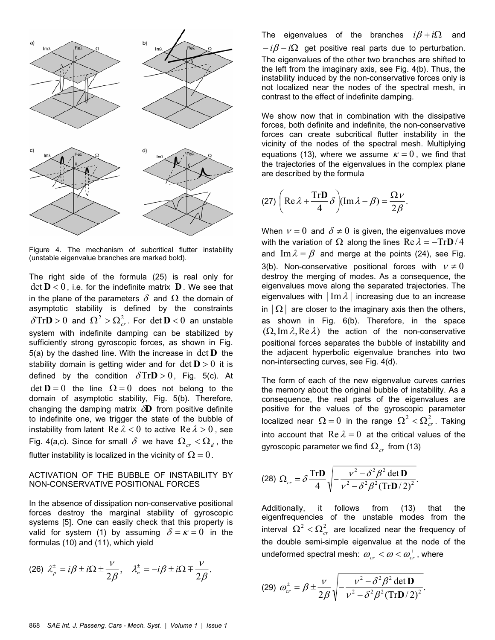

Figure 4. The mechanism of subcritical flutter instability (unstable eigenvalue branches are marked bold).

The right side of the formula (25) is real only for  $\det \mathbf{D} < 0$ , i.e. for the indefinite matrix  $\mathbf{D}$ . We see that in the plane of the parameters  $\delta$  and  $\Omega$  the domain of asymptotic stability is defined by the constraints  $\delta \mathrm{Tr} \mathbf{D} > 0$  and  $\Omega^2 > \Omega_{cr}^2$ . For  $\det \mathbf{D} < 0$  an unstable system with indefinite damping can be stabilized by sufficiently strong gyroscopic forces, as shown in Fig.  $5(a)$  by the dashed line. With the increase in  $\det D$  the stability domain is getting wider and for  $det \mathbf{D} > 0$  it is defined by the condition  $\delta \text{Tr} \mathbf{D} > 0$ , Fig. 5(c). At  $\det \mathbf{D} = 0$  the line  $\Omega = 0$  does not belong to the domain of asymptotic stability, Fig. 5(b). Therefore, changing the damping matrix  $\delta$ **D** from positive definite to indefinite one, we trigger the state of the bubble of instability from latent Re  $\lambda < 0$  to active Re  $\lambda > 0$ , see Fig. 4(a,c). Since for small  $\,\delta\,$  we have  $\,\Omega_{_{cr}}^{}<\Omega_{_{d}}^{}$  , the flutter instability is localized in the vicinity of  $\Omega = 0$ .

#### ACTIVATION OF THE BUBBLE OF INSTABILITY BY NON-CONSERVATIVE POSITIONAL FORCES

In the absence of dissipation non-conservative positional forces destroy the marginal stability of gyroscopic systems [5]. One can easily check that this property is valid for system (1) by assuming  $\delta = \kappa = 0$  in the formulas (10) and (11), which yield

$$
(26) \ \lambda_p^{\pm} = i\beta \pm i\Omega \pm \frac{v}{2\beta}, \quad \lambda_n^{\pm} = -i\beta \pm i\Omega \mp \frac{v}{2\beta}.
$$

The eigenvalues of the branches  $i\beta + i\Omega$  and  $i\beta - i\Omega$  get positive real parts due to perturbation. The eigenvalues of the other two branches are shifted to the left from the imaginary axis, see Fig. 4(b). Thus, the instability induced by the non-conservative forces only is not localized near the nodes of the spectral mesh, in contrast to the effect of indefinite damping.

We show now that in combination with the dissipative forces, both definite and indefinite, the non-conservative forces can create subcritical flutter instability in the vicinity of the nodes of the spectral mesh. Multiplying equations (13), where we assume  $\kappa = 0$ , we find that the trajectories of the eigenvalues in the complex plane are described by the formula

(27) 
$$
\left( \text{Re } \lambda + \frac{\text{Tr} \mathbf{D}}{4} \delta \right) (\text{Im } \lambda - \beta) = \frac{\Omega V}{2\beta}.
$$

When  $v = 0$  and  $\delta \neq 0$  is given, the eigenvalues move with the variation of  $\Omega$  along the lines  $\text{Re}\,\lambda = -\text{Tr}\mathbf{D}/4$ and Im  $\lambda = \beta$  and merge at the points (24), see Fig. 3(b). Non-conservative positional forces with  $v \neq 0$ destroy the merging of modes. As a consequence, the eigenvalues move along the separated trajectories. The eigenvalues with  $|\operatorname{Im}\lambda|$  increasing due to an increase in  $|\Omega|$  are closer to the imaginary axis then the others, as shown in Fig. 6(b). Therefore, in the space  $(\Omega, \text{Im }\lambda, \text{Re }\lambda)$  the action of the non-conservative positional forces separates the bubble of instability and the adjacent hyperbolic eigenvalue branches into two non-intersecting curves, see Fig. 4(d).

The form of each of the new eigenvalue curves carries the memory about the original bubble of instability. As a consequence, the real parts of the eigenvalues are positive for the values of the gyroscopic parameter localized near  $\Omega = 0$  in the range  $\Omega^2 < \Omega_{cr}^2$ . Taking into account that  $\text{Re}\,\lambda=0$  at the critical values of the gyroscopic parameter we find  $\Omega_{\alpha}$  from (13)

(28) 
$$
\Omega_{cr} = \delta \frac{\text{Tr} \mathbf{D}}{4} \sqrt{-\frac{v^2 - \delta^2 \beta^2 \det \mathbf{D}}{v^2 - \delta^2 \beta^2 (\text{Tr} \mathbf{D}/2)^2}}.
$$

Additionally, it follows from (13) that the eigenfrequencies of the unstable modes from the interval  $\Omega^2<\Omega_{cr}^2$  are localized near the frequency of the double semi-simple eigenvalue at the node of the undeformed spectral mesh:  $\omega_{cr}^- < \omega < \omega_{cr}^+$  , where

$$
(29) \ \omega_{cr}^{\pm} = \beta \pm \frac{\nu}{2\beta} \sqrt{-\frac{\nu^2 - \delta^2 \beta^2 \det \mathbf{D}}{\nu^2 - \delta^2 \beta^2 (\text{Tr} \mathbf{D}/2)^2}}.
$$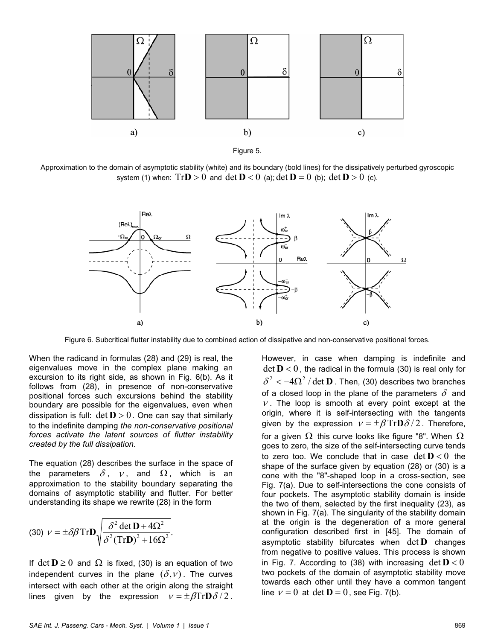



Approximation to the domain of asymptotic stability (white) and its boundary (bold lines) for the dissipatively perturbed gyroscopic system (1) when:  $Tr \mathbf{D} > 0$  and  $\det \mathbf{D} < 0$  (a);  $\det \mathbf{D} = 0$  (b);  $\det \mathbf{D} > 0$  (c).



Figure 6. Subcritical flutter instability due to combined action of dissipative and non-conservative positional forces.

When the radicand in formulas (28) and (29) is real, the eigenvalues move in the complex plane making an excursion to its right side, as shown in Fig. 6(b). As it follows from (28), in presence of non-conservative positional forces such excursions behind the stability boundary are possible for the eigenvalues, even when dissipation is full:  $\det \mathbf{D} > 0$ . One can say that similarly to the indefinite damping *the non-conservative positional forces activate the latent sources of flutter instability created by the full dissipation*.

The equation (28) describes the surface in the space of the parameters  $\delta$ ,  $\nu$ , and  $\Omega$ , which is an approximation to the stability boundary separating the domains of asymptotic stability and flutter. For better understanding its shape we rewrite (28) in the form

(30) 
$$
v = \pm \delta \beta \operatorname{Tr} \mathbf{D} \sqrt{\frac{\delta^2 \det \mathbf{D} + 4\Omega^2}{\delta^2 (\operatorname{Tr} \mathbf{D})^2 + 16\Omega^2}}.
$$

If  $\det \mathbf{D} \geq 0$  and  $\Omega$  is fixed, (30) is an equation of two independent curves in the plane  $(\delta,\nu)$ . The curves intersect with each other at the origin along the straight lines given by the expression  $v = \pm \beta \text{Tr} \mathbf{D} \delta / 2$ .

However, in case when damping is indefinite and  $\det \mathbf{D} < 0$ , the radical in the formula (30) is real only for  $\delta^2 < -4\Omega^2$  / det **D** . Then, (30) describes two branches of a closed loop in the plane of the parameters  $\delta$  and  $\nu$ . The loop is smooth at every point except at the origin, where it is self-intersecting with the tangents given by the expression  $v = \pm \beta \text{Tr} \mathbf{D} \delta/2$ . Therefore, for a given  $\Omega$  this curve looks like figure "8". When  $\Omega$ goes to zero, the size of the self-intersecting curve tends to zero too. We conclude that in case  $\det \mathbf{D} < 0$  the shape of the surface given by equation (28) or (30) is a cone with the "8"-shaped loop in a cross-section, see Fig. 7(a). Due to self-intersections the cone consists of four pockets. The asymptotic stability domain is inside the two of them, selected by the first inequality (23), as shown in Fig. 7(a). The singularity of the stability domain at the origin is the degeneration of a more general configuration described first in [45]. The domain of asymptotic stability bifurcates when  $\det \mathbf{D}$  changes from negative to positive values. This process is shown in Fig. 7. According to (38) with increasing  $\det \mathbf{D} < 0$ two pockets of the domain of asymptotic stability move towards each other until they have a common tangent line  $v = 0$  at det  $\mathbf{D} = 0$ , see Fig. 7(b).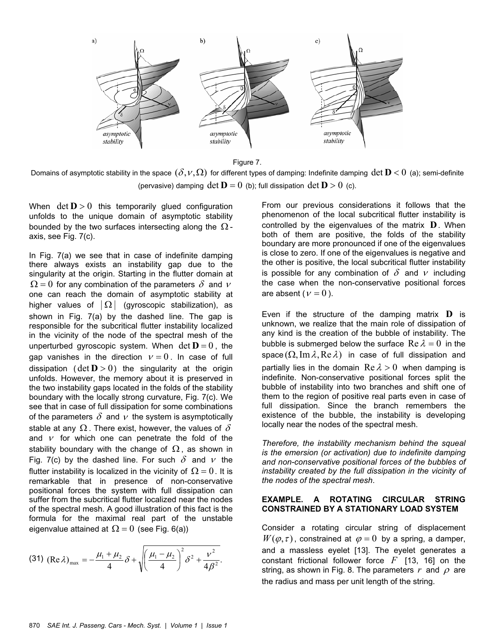

Figure 7.

Domains of asymptotic stability in the space  $(\delta,\nu,\Omega)$  for different types of damping: Indefinite damping  $\det\bm{D} < 0$  (a); semi-definite (pervasive) damping  $\det \mathbf{D} = 0$  (b); full dissipation  $\det \mathbf{D} > 0$  (c).

When  $\det \mathbf{D} > 0$  this temporarily glued configuration unfolds to the unique domain of asymptotic stability bounded by the two surfaces intersecting along the  $\Omega$  axis, see Fig. 7(c).

In Fig. 7(a) we see that in case of indefinite damping there always exists an instability gap due to the singularity at the origin. Starting in the flutter domain at  $\Omega$  =  $0$  for any combination of the parameters  $\,\delta\,$  and  $\,\nu$ one can reach the domain of asymptotic stability at higher values of  $|\Omega|$  (gyroscopic stabilization), as shown in Fig. 7(a) by the dashed line. The gap is responsible for the subcritical flutter instability localized in the vicinity of the node of the spectral mesh of the unperturbed gyroscopic system. When  $\det \mathbf{D} = 0$ , the gap vanishes in the direction  $v = 0$ . In case of full dissipation ( $\det \mathbf{D} > 0$ ) the singularity at the origin unfolds. However, the memory about it is preserved in the two instability gaps located in the folds of the stability boundary with the locally strong curvature, Fig. 7(c). We see that in case of full dissipation for some combinations of the parameters  $\delta$  and  $\nu$  the system is asymptotically stable at any  $\Omega$  . There exist, however, the values of  $\delta$ and  $V$  for which one can penetrate the fold of the stability boundary with the change of  $\Omega$ , as shown in Fig. 7(c) by the dashed line. For such  $\delta$  and  $\nu$  the flutter instability is localized in the vicinity of  $\Omega = 0$ . It is remarkable that in presence of non-conservative positional forces the system with full dissipation can suffer from the subcritical flutter localized near the nodes of the spectral mesh. A good illustration of this fact is the formula for the maximal real part of the unstable eigenvalue attained at  $\Omega = 0$  (see Fig. 6(a))

(31) 
$$
(Re \lambda)_{max} = -\frac{\mu_1 + \mu_2}{4} \delta + \sqrt{\left(\frac{\mu_1 - \mu_2}{4}\right)^2 \delta^2 + \frac{v^2}{4\beta^2}}.
$$

From our previous considerations it follows that the phenomenon of the local subcritical flutter instability is controlled by the eigenvalues of the matrix **D**. When both of them are positive, the folds of the stability boundary are more pronounced if one of the eigenvalues is close to zero. If one of the eigenvalues is negative and the other is positive, the local subcritical flutter instability is possible for any combination of  $\delta$  and  $\nu$  including the case when the non-conservative positional forces are absent ( $v = 0$ ).

Even if the structure of the damping matrix  $\mathbf{D}$  is unknown, we realize that the main role of dissipation of any kind is the creation of the bubble of instability. The bubble is submerged below the surface  $\operatorname{Re}\lambda=0$  in the space  $(\Omega, \text{Im }\lambda, \text{Re }\lambda)$  in case of full dissipation and partially lies in the domain  $\text{Re}\,\lambda > 0$  when damping is indefinite. Non-conservative positional forces split the bubble of instability into two branches and shift one of them to the region of positive real parts even in case of full dissipation. Since the branch remembers the existence of the bubble, the instability is developing locally near the nodes of the spectral mesh.

*Therefore, the instability mechanism behind the squeal is the emersion (or activation) due to indefinite damping and non-conservative positional forces of the bubbles of instability created by the full dissipation in the vicinity of the nodes of the spectral mesh*.

#### **EXAMPLE. A ROTATING CIRCULAR STRING CONSTRAINED BY A STATIONARY LOAD SYSTEM**

Consider a rotating circular string of displacement  $W(\varphi,\tau)$ , constrained at  $\varphi = 0$  by a spring, a damper, and a massless eyelet [13]. The eyelet generates a constant frictional follower force *F* [13, 16] on the string, as shown in Fig. 8. The parameters  $r$  and  $\rho$  are the radius and mass per unit length of the string.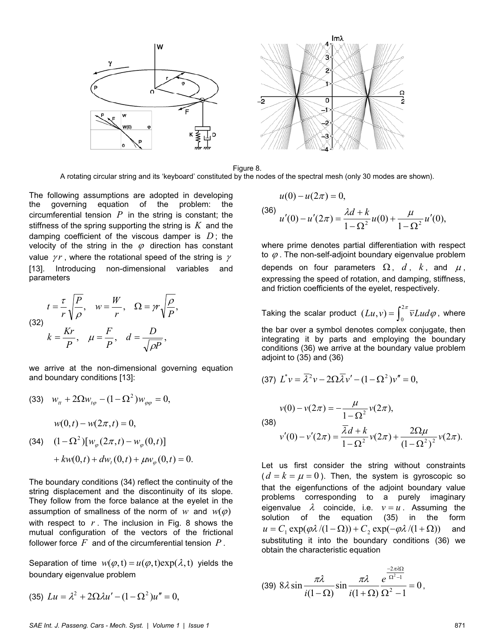

Figure 8. A rotating circular string and its 'keyboard' constituted by the nodes of the spectral mesh (only 30 modes are shown).

The following assumptions are adopted in developing the governing equation of the problem: the circumferential tension  $P$  in the string is constant; the stiffness of the spring supporting the string is *K* and the damping coefficient of the viscous damper is  $D$ ; the velocity of the string in the  $\varphi$  direction has constant value  $\gamma r$ , where the rotational speed of the string is  $\gamma$ [13]. Introducing non-dimensional variables and parameters

(32)  

$$
t = \frac{\tau}{r} \sqrt{\frac{P}{\rho}}, \quad w = \frac{W}{r}, \quad \Omega = \gamma r \sqrt{\frac{\rho}{P}},
$$

$$
k = \frac{Kr}{P}, \quad \mu = \frac{F}{P}, \quad d = \frac{D}{\sqrt{\rho P}},
$$

we arrive at the non-dimensional governing equation and boundary conditions [13]:

(33) 
$$
w_{tt} + 2\Omega w_{t\varphi} - (1 - \Omega^2) w_{\varphi\varphi} = 0,
$$
  
\n
$$
w(0, t) - w(2\pi, t) = 0,
$$
  
\n(34) 
$$
(1 - \Omega^2) [w_{\varphi}(2\pi, t) - w_{\varphi}(0, t)] + kw(0, t) + dw_{\varphi}(0, t) = 0.
$$

The boundary conditions (34) reflect the continuity of the string displacement and the discontinuity of its slope. They follow from the force balance at the eyelet in the assumption of smallness of the norm of w and  $w(\varphi)$ with respect to *r* . The inclusion in Fig. 8 shows the mutual configuration of the vectors of the frictional follower force  $F$  and of the circumferential tension  $P$ .

Separation of time  $w(\varphi, t) = u(\varphi, t) \exp(\lambda, t)$  yields the boundary eigenvalue problem

(35) 
$$
Lu = \lambda^2 + 2\Omega\lambda u' - (1 - \Omega^2)u'' = 0
$$
,

$$
u(0) - u(2\pi) = 0,
$$
  
(36)  

$$
u'(0) - u'(2\pi) = \frac{\lambda d + k}{1 - \Omega^2} u(0) + \frac{\mu}{1 - \Omega^2} u'(0),
$$

where prime denotes partial differentiation with respect to  $\varphi$ . The non-self-adjoint boundary eigenvalue problem depends on four parameters  $\Omega$ , d, k, and  $\mu$ , expressing the speed of rotation, and damping, stiffness, and friction coefficients of the eyelet, respectively.

Taking the scalar product 
$$
(Lu, v) = \int_0^{2\pi} \overline{v}Lu d\varphi
$$
, where  
the her over a symbol denote complex conjugate, then

the bar over a symbol denotes complex conjugate, then integrating it by parts and employing the boundary conditions (36) we arrive at the boundary value problem adjoint to (35) and (36)

$$
(37) \ L^* v = \overline{\lambda}^2 v - 2\Omega \overline{\lambda} v' - (1 - \Omega^2) v'' = 0,
$$

(38)  

$$
v(0) - v(2\pi) = -\frac{\mu}{1 - \Omega^2} v(2\pi),
$$

$$
v'(0) - v'(2\pi) = \frac{\overline{\lambda}d + k}{1 - \Omega^2} v(2\pi) + \frac{2\Omega\mu}{(1 - \Omega^2)^2} v(2\pi).
$$

Let us first consider the string without constraints  $(d = k = \mu = 0)$ . Then, the system is gyroscopic so that the eigenfunctions of the adjoint boundary value problems corresponding to a purely imaginary eigenvalue  $\lambda$  coincide, i.e.  $v = u$ . Assuming the solution of the equation (35) in the form  $u = C_1 \exp(\varphi \lambda / (1 - \Omega)) + C_2 \exp(-\varphi \lambda / (1 + \Omega))$  and substituting it into the boundary conditions (36) we obtain the characteristic equation

$$
(39) \ 8\lambda \sin \frac{\pi \lambda}{i(1-\Omega)} \sin \frac{\pi \lambda}{i(1+\Omega)} \frac{e^{\frac{-2\pi \lambda \Omega}{\Omega^2-1}}}{\Omega^2-1} = 0,
$$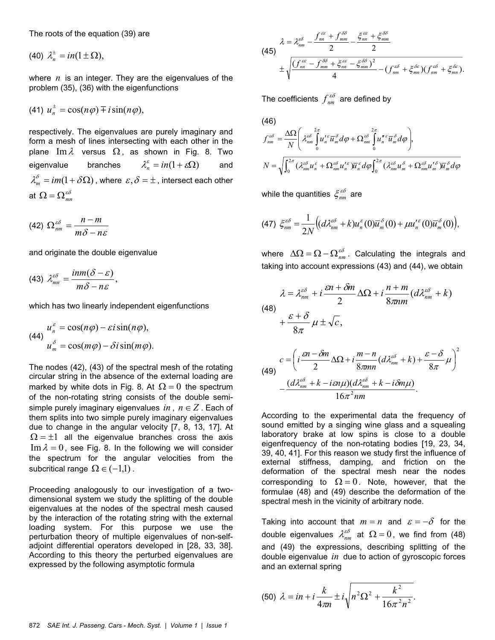The roots of the equation (39) are

(40)  $\lambda_n^{\pm} = in(1 \pm \Omega),$ 

where  $n$  is an integer. They are the eigenvalues of the problem (35), (36) with the eigenfunctions

(41) 
$$
u_n^{\pm} = \cos(n\varphi) \mp i \sin(n\varphi),
$$

respectively. The eigenvalues are purely imaginary and form a mesh of lines intersecting with each other in the plane  $\text{Im}\,\lambda$  versus  $\Omega$ , as shown in Fig. 8. Two eigenvalue branches  $\lambda_n^{\varepsilon} = in(1 + \varepsilon \Omega)$  and  $\lambda_m^{\delta} = im(1+\delta\Omega)$  , where  $\,\varepsilon,\delta=\pm$  , intersect each other at  $\Omega = \Omega_{\textit{mn}}^{\textit{e}\delta}$ 

$$
(42)\ \Omega_{nm}^{\varepsilon\delta}=\frac{n-m}{m\delta-n\varepsilon}
$$

and originate the double eigenvalue

$$
(43)\,\,\lambda_{mn}^{\varepsilon\delta}=\frac{inm(\delta-\varepsilon)}{m\delta-n\varepsilon},
$$

which has two linearly independent eigenfunctions

(44) 
$$
u_n^{\varepsilon} = \cos(n\varphi) - \varepsilon i \sin(n\varphi),
$$

$$
u_m^{\delta} = \cos(m\varphi) - \delta i \sin(m\varphi).
$$

The nodes (42), (43) of the spectral mesh of the rotating circular string in the absence of the external loading are marked by white dots in Fig. 8. At  $\Omega = 0$  the spectrum of the non-rotating string consists of the double semisimple purely imaginary eigenvalues  $in$  ,  $n \in Z$  . Each of them splits into two simple purely imaginary eigenvalues due to change in the angular velocity [7, 8, 13, 17]. At  $\Omega = \pm 1$  all the eigenvalue branches cross the axis Im  $\lambda = 0$ , see Fig. 8. In the following we will consider the spectrum for the angular velocities from the subcritical range  $\Omega \in (-1,1)$ .

Proceeding analogously to our investigation of a twodimensional system we study the splitting of the double eigenvalues at the nodes of the spectral mesh caused by the interaction of the rotating string with the external loading system. For this purpose we use the perturbation theory of multiple eigenvalues of non-selfadjoint differential operators developed in [28, 33, 38]. According to this theory the perturbed eigenvalues are expressed by the following asymptotic formula

$$
\lambda = \lambda_{nm}^{\varepsilon\delta} - \frac{f_{nm}^{\varepsilon\varepsilon} + f_{mm}^{\delta\delta}}{2} - \frac{\xi_{nm}^{\varepsilon\varepsilon} + \xi_{mm}^{\delta\delta}}{2}
$$
\n
$$
\pm \sqrt{\frac{(f_{nm}^{\varepsilon\varepsilon} - f_{mm}^{\delta\delta} + \xi_{nm}^{\varepsilon\varepsilon} - \xi_{mm}^{\delta\delta})^2}{4} - (f_{nm}^{\varepsilon\delta} + \xi_{mm}^{\delta\varepsilon})(f_{nm}^{\varepsilon\delta} + \xi_{mm}^{\delta\varepsilon}).}
$$

The coefficients  $f_{nm}^{\ \varepsilon\delta}$  are defined by

$$
(46)
$$
\n
$$
f_{nm}^{\varepsilon\delta} = \frac{\Delta\Omega}{N} \left( \lambda_{nm}^{\varepsilon\delta} \int_0^{2\pi} u_n^{\prime\epsilon} \overline{u}_m^{\delta} d\varphi + \Omega_{nm}^{\varepsilon\delta} \int_0^{2\pi} u_n^{\prime\epsilon} \overline{u}_m^{\delta} d\varphi \right),
$$
\n
$$
N = \sqrt{\int_0^{2\pi} (\lambda_{nm}^{\varepsilon\delta} u_n^{\epsilon} + \Omega_{nm}^{\varepsilon\delta} u_n^{\prime\epsilon}) \overline{u}_n^{\epsilon} d\varphi \int_0^{2\pi} (\lambda_{nm}^{\varepsilon\delta} u_m^{\delta} + \Omega_{nm}^{\varepsilon\delta} u_m^{\prime\delta}) \overline{u}_m^{\delta} d\varphi}
$$

while the quantities  $\zeta_{\rm\scriptscriptstyle\it mm}^{\scriptscriptstyle\it \it \epsilon\delta}$  are

$$
(47)\ \xi_{nm}^{\varepsilon\delta}=\frac{1}{2N}\Big((d\lambda_{nm}^{\varepsilon\delta}+k)u_n^{\varepsilon}(0)\overline{u}_m^{\delta}(0)+\mu u_n^{\prime\epsilon}(0)\overline{u}_m^{\delta}(0)\Big),
$$

where  $\Delta\Omega$  =  $\Omega$  –  $\Omega$  $_{nm}^{z\delta}$ . Calculating the integrals and taking into account expressions (43) and (44), we obtain

$$
\lambda = \lambda_{nm}^{\varepsilon\delta} + i \frac{\varepsilon n + \delta m}{2} \Delta \Omega + i \frac{n+m}{8\pi n m} (d \lambda_{nm}^{\varepsilon\delta} + k)
$$
\n
$$
+ \frac{\varepsilon + \delta}{8\pi} \mu \pm \sqrt{c},
$$
\n
$$
c = \left( i \frac{\varepsilon n - \delta m}{2} \Delta \Omega + i \frac{m-n}{8\pi m n} (d \lambda_{nm}^{\varepsilon\delta} + k) + \frac{\varepsilon - \delta}{8\pi} \mu \right)^2
$$
\n
$$
- \frac{(d \lambda_{nm}^{\varepsilon\delta} + k - i \varepsilon n \mu)(d \lambda_{nm}^{\varepsilon\delta} + k - i \delta m \mu)}{16\pi^2 n m}.
$$

According to the experimental data the frequency of sound emitted by a singing wine glass and a squealing laboratory brake at low spins is close to a double eigenfrequency of the non-rotating bodies [19, 23, 34, 39, 40, 41]. For this reason we study first the influence of external stiffness, damping, and friction on the deformation of the spectral mesh near the nodes corresponding to  $\Omega = 0$ . Note, however, that the formulae (48) and (49) describe the deformation of the spectral mesh in the vicinity of arbitrary node.

Taking into account that  $m = n$  and  $\varepsilon = -\delta$  for the double eigenvalues  $\lambda_{nm}^{\varepsilon\delta}$  at  $\Omega=0$ , we find from (48) and (49) the expressions, describing splitting of the double eigenvalue *in* due to action of gyroscopic forces and an external spring

$$
(50) \ \lambda = in + i \frac{k}{4\pi n} \pm i \sqrt{n^2 \Omega^2 + \frac{k^2}{16\pi^2 n^2}}.
$$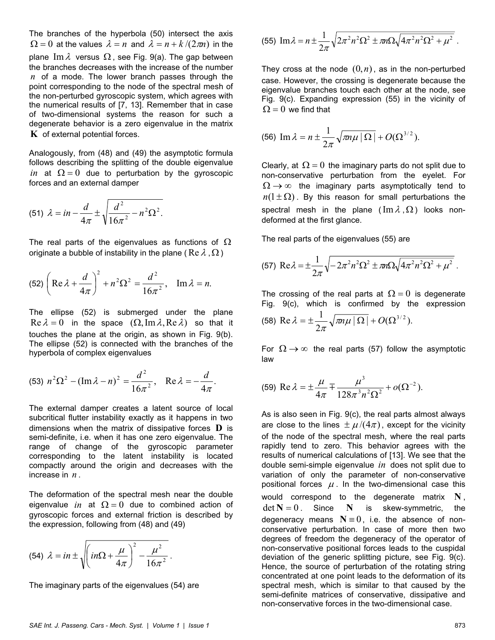The branches of the hyperbola (50) intersect the axis  $\Omega = 0$  at the values  $\lambda = n$  and  $\lambda = n + k/(2\pi n)$  in the plane  $\,\mathrm{Im}\,\lambda\,$  versus  $\,\Omega$  , see Fig. 9(a). The gap between the branches decreases with the increase of the number  $n$  of a mode. The lower branch passes through the point corresponding to the node of the spectral mesh of the non-perturbed gyroscopic system, which agrees with the numerical results of [7, 13]. Remember that in case of two-dimensional systems the reason for such a degenerate behavior is a zero eigenvalue in the matrix **K** of external potential forces.

Analogously, from (48) and (49) the asymptotic formula follows describing the splitting of the double eigenvalue in at  $\Omega = 0$  due to perturbation by the gyroscopic forces and an external damper

(51) 
$$
\lambda = in - \frac{d}{4\pi} \pm \sqrt{\frac{d^2}{16\pi^2} - n^2 \Omega^2}.
$$

The real parts of the eigenvalues as functions of  $\Omega$ originate a bubble of instability in the plane (Re  $\lambda$ ,  $\Omega$ )

$$
(52)\left(\text{Re }\lambda+\frac{d}{4\pi}\right)^2+n^2\Omega^2=\frac{d^2}{16\pi^2},\quad \text{Im }\lambda=n.
$$

The ellipse (52) is submerged under the plane  $\text{Re }\lambda = 0$  in the space  $(\Omega, \text{Im }\lambda, \text{Re }\lambda)$  so that it touches the plane at the origin, as shown in Fig. 9(b). The ellipse (52) is connected with the branches of the hyperbola of complex eigenvalues

(53) 
$$
n^2\Omega^2 - (\text{Im }\lambda - n)^2 = \frac{d^2}{16\pi^2}
$$
, Re  $\lambda = -\frac{d}{4\pi}$ .

The external damper creates a latent source of local subcritical flutter instability exactly as it happens in two dimensions when the matrix of dissipative forces  $\mathbf{D}$  is semi-definite, i.e. when it has one zero eigenvalue. The range of change of the gyroscopic parameter corresponding to the latent instability is located compactly around the origin and decreases with the increase in  $n$ .

The deformation of the spectral mesh near the double eigenvalue *in* at  $\Omega = 0$  due to combined action of gyroscopic forces and external friction is described by the expression, following from (48) and (49)

$$
(54)\ \lambda = in \pm \sqrt{\left(in\Omega + \frac{\mu}{4\pi}\right)^2 - \frac{\mu^2}{16\pi^2}}.
$$

The imaginary parts of the eigenvalues (54) are

$$
(55)\ \operatorname{Im}\lambda=n\pm\frac{1}{2\pi}\sqrt{2\pi^2n^2\Omega^2\pm\pi n\Omega\sqrt{4\pi^2n^2\Omega^2+\mu^2}}\ .
$$

They cross at the node  $(0, n)$ , as in the non-perturbed case. However, the crossing is degenerate because the eigenvalue branches touch each other at the node, see Fig. 9(c). Expanding expression (55) in the vicinity of  $\Omega = 0$  we find that

$$
(56)\ \operatorname{Im}\lambda=n\pm\frac{1}{2\pi}\sqrt{\pi n\mu\,|\,\Omega\,|}+O(\Omega^{3/2}).
$$

Clearly, at  $\Omega = 0$  the imaginary parts do not split due to non-conservative perturbation from the eyelet. For  $\Omega \rightarrow \infty$  the imaginary parts asymptotically tend to  $n(1 \pm \Omega)$ . By this reason for small perturbations the spectral mesh in the plane  $(\text{Im }\lambda , \Omega)$  looks nondeformed at the first glance.

The real parts of the eigenvalues (55) are

$$
(57) \ \mathrm{Re}\lambda = \pm \frac{1}{2\pi} \sqrt{-2\pi^2 n^2 \Omega^2 \pm \pi n \Omega \sqrt{4\pi^2 n^2 \Omega^2 + \mu^2}} \ .
$$

The crossing of the real parts at  $\Omega = 0$  is degenerate Fig. 9(c), which is confirmed by the expression

(58) Re 
$$
\lambda = \pm \frac{1}{2\pi} \sqrt{\pi n \mu |\Omega|} + O(\Omega^{3/2}).
$$

For  $\Omega \rightarrow \infty$  the real parts (57) follow the asymptotic law

(59) Re 
$$
\lambda = \pm \frac{\mu}{4\pi} \mp \frac{\mu^3}{128\pi^3 n^2 \Omega^2} + o(\Omega^{-2}).
$$

As is also seen in Fig. 9(c), the real parts almost always are close to the lines  $\pm \mu/(4\pi)$ , except for the vicinity of the node of the spectral mesh, where the real parts rapidly tend to zero. This behavior agrees with the results of numerical calculations of [13]. We see that the double semi-simple eigenvalue *in* does not split due to variation of only the parameter of non-conservative positional forces  $\,\mu$  . In the two-dimensional case this would correspond to the degenerate matrix  $N$ ,  $\det N = 0$ . Since **N** is skew-symmetric, the degeneracy means  $N = 0$ , i.e. the absence of nonconservative perturbation. In case of more then two degrees of freedom the degeneracy of the operator of non-conservative positional forces leads to the cuspidal deviation of the generic splitting picture, see Fig. 9(c). Hence, the source of perturbation of the rotating string concentrated at one point leads to the deformation of its spectral mesh, which is similar to that caused by the semi-definite matrices of conservative, dissipative and non-conservative forces in the two-dimensional case.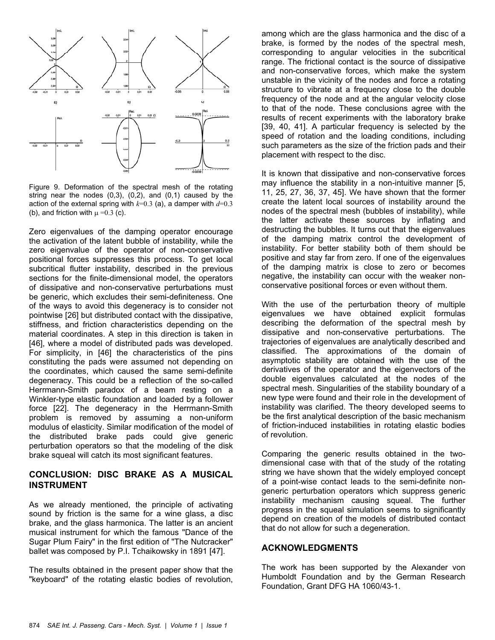

Figure 9. Deformation of the spectral mesh of the rotating string near the nodes  $(0,3)$ ,  $(0,2)$ , and  $(0,1)$  caused by the action of the external spring with *k*=0.3 (a), a damper with *d*=0.3 (b), and friction with  $\mu$  =0.3 (c).

Zero eigenvalues of the damping operator encourage the activation of the latent bubble of instability, while the zero eigenvalue of the operator of non-conservative positional forces suppresses this process. To get local subcritical flutter instability, described in the previous sections for the finite-dimensional model, the operators of dissipative and non-conservative perturbations must be generic, which excludes their semi-definiteness. One of the ways to avoid this degeneracy is to consider not pointwise [26] but distributed contact with the dissipative, stiffness, and friction characteristics depending on the material coordinates. A step in this direction is taken in [46], where a model of distributed pads was developed. For simplicity, in [46] the characteristics of the pins constituting the pads were assumed not depending on the coordinates, which caused the same semi-definite degeneracy. This could be a reflection of the so-called Herrmann-Smith paradox of a beam resting on a Winkler-type elastic foundation and loaded by a follower force [22]. The degeneracy in the Herrmann-Smith problem is removed by assuming a non-uniform modulus of elasticity. Similar modification of the model of the distributed brake pads could give generic perturbation operators so that the modeling of the disk brake squeal will catch its most significant features.

#### **CONCLUSION: DISC BRAKE AS A MUSICAL INSTRUMENT**

As we already mentioned, the principle of activating sound by friction is the same for a wine glass, a disc brake, and the glass harmonica. The latter is an ancient musical instrument for which the famous "Dance of the Sugar Plum Fairy" in the first edition of "The Nutcracker" ballet was composed by P.I. Tchaikowsky in 1891 [47].

The results obtained in the present paper show that the "keyboard" of the rotating elastic bodies of revolution,

among which are the glass harmonica and the disc of a brake, is formed by the nodes of the spectral mesh, corresponding to angular velocities in the subcritical range. The frictional contact is the source of dissipative and non-conservative forces, which make the system unstable in the vicinity of the nodes and force a rotating structure to vibrate at a frequency close to the double frequency of the node and at the angular velocity close to that of the node. These conclusions agree with the results of recent experiments with the laboratory brake [39, 40, 41]. A particular frequency is selected by the speed of rotation and the loading conditions, including such parameters as the size of the friction pads and their placement with respect to the disc.

It is known that dissipative and non-conservative forces may influence the stability in a non-intuitive manner [5, 11, 25, 27, 36, 37, 45]. We have shown that the former create the latent local sources of instability around the nodes of the spectral mesh (bubbles of instability), while the latter activate these sources by inflating and destructing the bubbles. It turns out that the eigenvalues of the damping matrix control the development of instability. For better stability both of them should be positive and stay far from zero. If one of the eigenvalues of the damping matrix is close to zero or becomes negative, the instability can occur with the weaker nonconservative positional forces or even without them.

With the use of the perturbation theory of multiple eigenvalues we have obtained explicit formulas describing the deformation of the spectral mesh by dissipative and non-conservative perturbations. The trajectories of eigenvalues are analytically described and classified. The approximations of the domain of asymptotic stability are obtained with the use of the derivatives of the operator and the eigenvectors of the double eigenvalues calculated at the nodes of the spectral mesh. Singularities of the stability boundary of a new type were found and their role in the development of instability was clarified. The theory developed seems to be the first analytical description of the basic mechanism of friction-induced instabilities in rotating elastic bodies of revolution.

Comparing the generic results obtained in the twodimensional case with that of the study of the rotating string we have shown that the widely employed concept of a point-wise contact leads to the semi-definite nongeneric perturbation operators which suppress generic instability mechanism causing squeal. The further progress in the squeal simulation seems to significantly depend on creation of the models of distributed contact that do not allow for such a degeneration.

#### **ACKNOWLEDGMENTS**

The work has been supported by the Alexander von Humboldt Foundation and by the German Research Foundation, Grant DFG HA 1060/43-1.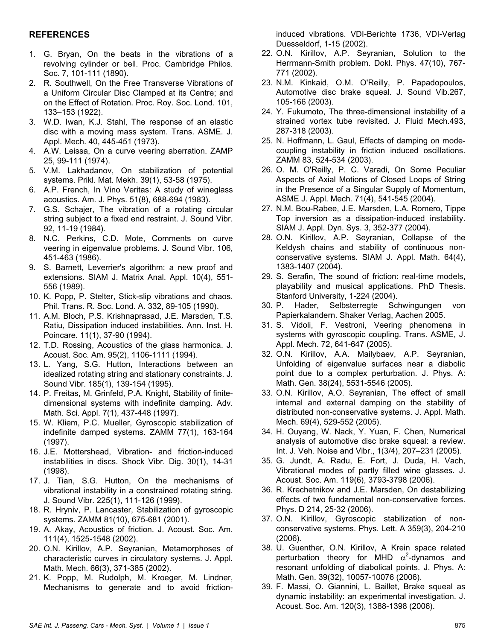#### **REFERENCES**

- 1. G. Bryan, On the beats in the vibrations of a revolving cylinder or bell. Proc. Cambridge Philos. Soc. 7, 101-111 (1890).
- 2. R. Southwell, On the Free Transverse Vibrations of a Uniform Circular Disc Clamped at its Centre; and on the Effect of Rotation. Proc. Roy. Soc. Lond. 101, 133–153 (1922).
- 3. W.D. Iwan, K.J. Stahl, The response of an elastic disc with a moving mass system. Trans. ASME. J. Appl. Mech. 40, 445-451 (1973).
- 4. A.W. Leissa, On a curve veering aberration. ZAMP 25, 99-111 (1974).
- 5. V.M. Lakhadanov, On stabilization of potential systems. Prikl. Mat. Mekh. 39(1), 53-58 (1975).
- 6. A.P. French, In Vino Veritas: A study of wineglass acoustics. Am. J. Phys. 51(8), 688-694 (1983).
- 7. G.S. Schajer, The vibration of a rotating circular string subject to a fixed end restraint. J. Sound Vibr. 92, 11-19 (1984).
- 8. N.C. Perkins, C.D. Mote, Comments on curve veering in eigenvalue problems. J. Sound Vibr. 106, 451-463 (1986).
- 9. S. Barnett, Leverrier's algorithm: a new proof and extensions. SIAM J. Matrix Anal. Appl. 10(4), 551- 556 (1989).
- 10. K. Popp, P. Stelter, Stick-slip vibrations and chaos. Phil. Trans. R. Soc. Lond. A. 332, 89-105 (1990).
- 11. A.M. Bloch, P.S. Krishnaprasad, J.E. Marsden, T.S. Ratiu, Dissipation induced instabilities. Ann. Inst. H. Poincare. 11(1), 37-90 (1994).
- 12. T.D. Rossing, Acoustics of the glass harmonica. J. Acoust. Soc. Am. 95(2), 1106-1111 (1994).
- 13. L. Yang, S.G. Hutton, Interactions between an idealized rotating string and stationary constraints. J. Sound Vibr. 185(1), 139-154 (1995).
- 14. P. Freitas, M. Grinfeld, P.A. Knight, Stability of finitedimensional systems with indefinite damping. Adv. Math. Sci. Appl. 7(1), 437-448 (1997).
- 15. W. Kliem, P.C. Mueller, Gyroscopic stabilization of indefinite damped systems. ZAMM 77(1), 163-164 (1997).
- 16. J.E. Mottershead, Vibration- and friction-induced instabilities in discs. Shock Vibr. Dig. 30(1), 14-31 (1998).
- 17. J. Tian, S.G. Hutton, On the mechanisms of vibrational instability in a constrained rotating string. J. Sound Vibr. 225(1), 111-126 (1999).
- 18. R. Hryniv, P. Lancaster, Stabilization of gyroscopic systems. ZAMM 81(10), 675-681 (2001).
- 19. A. Akay, Acoustics of friction. J. Acoust. Soc. Am. 111(4), 1525-1548 (2002).
- 20. O.N. Kirillov, A.P. Seyranian, Metamorphoses of characteristic curves in circulatory systems. J. Appl. Math. Mech. 66(3), 371-385 (2002).
- 21. K. Popp, M. Rudolph, M. Kroeger, M. Lindner, Mechanisms to generate and to avoid friction-

induced vibrations. VDI-Berichte 1736, VDI-Verlag Duesseldorf, 1-15 (2002).

- 22. O.N. Kirillov, A.P. Seyranian, Solution to the Herrmann-Smith problem. Dokl. Phys. 47(10), 767- 771 (2002).
- 23. N.M. Kinkaid, O.M. O'Reilly, P. Papadopoulos, Automotive disc brake squeal. J. Sound Vib.267, 105-166 (2003).
- 24. Y. Fukumoto, The three-dimensional instability of a strained vortex tube revisited. J. Fluid Mech.493, 287-318 (2003).
- 25. N. Hoffmann, L. Gaul, Effects of damping on modecoupling instability in friction induced oscillations. ZAMM 83, 524-534 (2003).
- 26. O. M. O'Reilly, P. C. Varadi, On Some Peculiar Aspects of Axial Motions of Closed Loops of String in the Presence of a Singular Supply of Momentum, ASME J. Appl. Mech. 71(4), 541-545 (2004).
- 27. N.M. Bou-Rabee, J.E. Marsden, L.A. Romero, Tippe Top inversion as a dissipation-induced instability. SIAM J. Appl. Dyn. Sys. 3, 352-377 (2004).
- 28. O.N. Kirillov, A.P. Seyranian, Collapse of the Keldysh chains and stability of continuous nonconservative systems. SIAM J. Appl. Math. 64(4), 1383-1407 (2004).
- 29. S. Serafin, The sound of friction: real-time models, playability and musical applications. PhD Thesis. Stanford University, 1-224 (2004).
- 30. P. Hader, Selbsterregte Schwingungen von Papierkalandern. Shaker Verlag, Aachen 2005.
- 31. S. Vidoli, F. Vestroni, Veering phenomena in systems with gyroscopic coupling. Trans. ASME, J. Appl. Mech. 72, 641-647 (2005).
- 32. O.N. Kirillov, A.A. Mailybaev, A.P. Seyranian, Unfolding of eigenvalue surfaces near a diabolic point due to a complex perturbation. J. Phys. A: Math. Gen. 38(24), 5531-5546 (2005).
- 33. O.N. Kirillov, A.O. Seyranian, The effect of small internal and external damping on the stability of distributed non-conservative systems. J. Appl. Math. Mech. 69(4), 529-552 (2005).
- 34. H. Ouyang, W. Nack, Y. Yuan, F. Chen, Numerical analysis of automotive disc brake squeal: a review. Int. J. Veh. Noise and Vibr., 1(3/4), 207–231 (2005).
- 35. G. Jundt, A. Radu, E. Fort, J. Duda, H. Vach, Vibrational modes of partly filled wine glasses. J. Acoust. Soc. Am. 119(6), 3793-3798 (2006).
- 36. R. Krechetnikov and J.E. Marsden, On destabilizing effects of two fundamental non-conservative forces. Phys. D 214, 25-32 (2006).
- 37. O.N. Kirillov, Gyroscopic stabilization of nonconservative systems. Phys. Lett. A 359(3), 204-210 (2006).
- 38. U. Guenther, O.N. Kirillov, A Krein space related perturbation theory for MHD  $\alpha^2$ -dynamos and resonant unfolding of diabolical points. J. Phys. A: Math. Gen. 39(32), 10057-10076 (2006).
- 39. F. Massi, O. Giannini, L. Baillet, Brake squeal as dynamic instability: an experimental investigation. J. Acoust. Soc. Am. 120(3), 1388-1398 (2006).